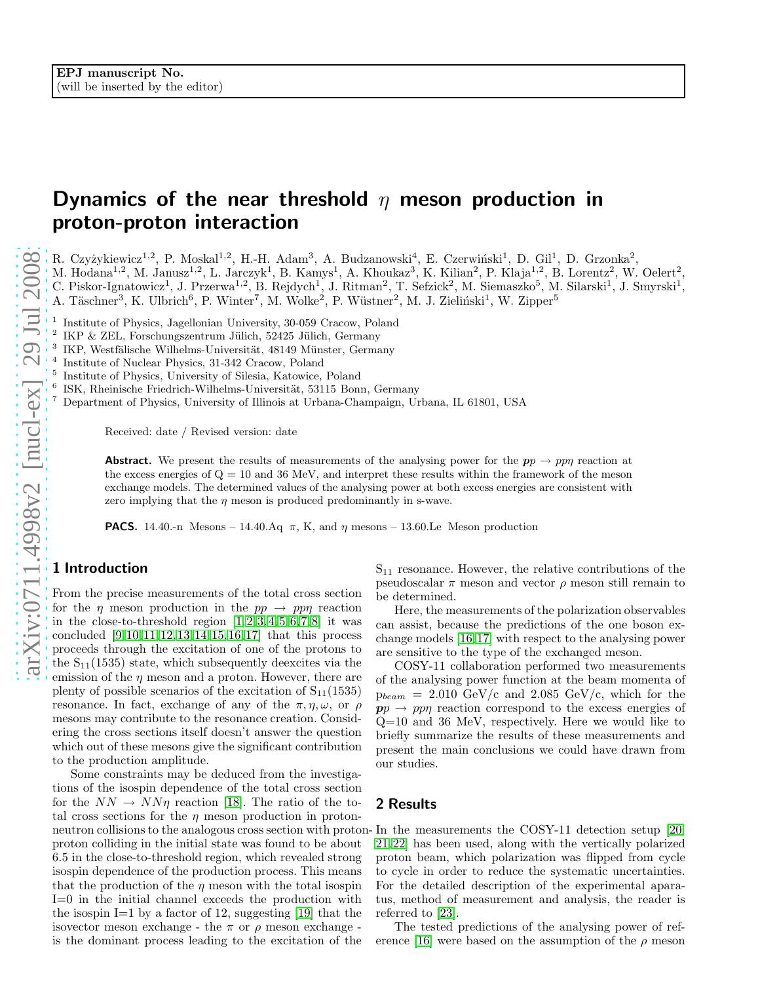# Dynamics of the near threshold  $\eta$  meson production in proton-proton interaction

R. Czyżykiewicz<sup>1,2</sup>, P. Moskal<sup>1,2</sup>, H.-H. Adam<sup>3</sup>, A. Budzanowski<sup>4</sup>, E. Czerwiński<sup>1</sup>, D. Gil<sup>1</sup>, D. Grzonka<sup>2</sup>,

M. Hodana<sup>1,2</sup>, M. Janusz<sup>1,2</sup>, L. Jarczyk<sup>1</sup>, B. Kamys<sup>1</sup>, A. Khoukaz<sup>3</sup>, K. Kilian<sup>2</sup>, P. Klaja<sup>1,2</sup>, B. Lorentz<sup>2</sup>, W. Oelert<sup>2</sup>,

C. Piskor-Ignatowicz<sup>1</sup>, J. Przerwa<sup>1,2</sup>, B. Rejdych<sup>1</sup>, J. Ritman<sup>2</sup>, T. Sefzick<sup>2</sup>, M. Siemaszko<sup>5</sup>, M. Silarski<sup>1</sup>, J. Smyrski<sup>1</sup>,

A. Täschner<sup>3</sup>, K. Ulbrich<sup>6</sup>, P. Winter<sup>7</sup>, M. Wolke<sup>2</sup>, P. Wüstner<sup>2</sup>, M. J. Zieliński<sup>1</sup>, W. Zipper<sup>5</sup>

1 Institute of Physics, Jagellonian University, 30-059 Cracow, Poland

- 2 IKP & ZEL, Forschungszentrum Jülich, 52425 Jülich, Germany
- 3 IKP, Westfälische Wilhelms-Universität, 48149 Münster, Germany
- 4 Institute of Nuclear Physics, 31-342 Cracow, Poland
- 5 Institute of Physics, University of Silesia, Katowice, Poland
- ISK, Rheinische Friedrich-Wilhelms-Universität, 53115 Bonn, Germany
- <sup>7</sup> Department of Physics, University of Illinois at Urbana-Champaign, Urbana, IL 61801, USA

Received: date / Revised version: date

**Abstract.** We present the results of measurements of the analysing power for the  $pp \rightarrow pp\eta$  reaction at the excess energies of  $Q = 10$  and 36 MeV, and interpret these results within the framework of the meson exchange models. The determined values of the analysing power at both excess energies are consistent with zero implying that the  $\eta$  meson is produced predominantly in s-wave.

**PACS.** 14.40.-n Mesons – 14.40.Aq  $\pi$ , K, and  $\eta$  mesons – 13.60.Le Meson production

## 1 Introduction

From the precise measurements of the total cross section for the  $\eta$  meson production in the  $pp \rightarrow pp\eta$  reaction in the close-to-threshold region  $[1,2,3,4,5,6,7,8]$  $[1,2,3,4,5,6,7,8]$  $[1,2,3,4,5,6,7,8]$  $[1,2,3,4,5,6,7,8]$  $[1,2,3,4,5,6,7,8]$  $[1,2,3,4,5,6,7,8]$  $[1,2,3,4,5,6,7,8]$  $[1,2,3,4,5,6,7,8]$  it was concluded [\[9,](#page-2-8)[10,](#page-2-9)[11,](#page-2-10)[12,](#page-2-11)[13,](#page-2-12)[14,](#page-2-13)[15,](#page-2-14)[16,](#page-2-15)[17\]](#page-2-16) that this process proceeds through the excitation of one of the protons to the  $S_{11}(1535)$  state, which subsequently deexcites via the emission of the  $\eta$  meson and a proton. However, there are plenty of possible scenarios of the excitation of  $S_{11}(1535)$ resonance. In fact, exchange of any of the  $\pi, \eta, \omega$ , or  $\rho$ mesons may contribute to the resonance creation. Considering the cross sections itself doesn't answer the question which out of these mesons give the significant contribution to the production amplitude.

Some constraints may be deduced from the investigations of the isospin dependence of the total cross section for the  $NN \rightarrow NN\eta$  reaction [\[18\]](#page-2-17). The ratio of the total cross sections for the  $\eta$  meson production in protonneutron collisions to the analogous cross section with proton-In the measurements the COSY-11 detection setup [\[20,](#page-2-19) proton colliding in the initial state was found to be about 6.5 in the close-to-threshold region, which revealed stron g isospin dependence of the production process. This means that the production of the  $\eta$  meson with the total isospin I=0 in the initial channel exceeds the production with the isospin I=1 by a factor of 12, suggesting [\[19\]](#page-2-18) that the isovector meson exchange - the  $\pi$  or  $\rho$  meson exchange is the dominant process leading to the excitation of the

 $S_{11}$  resonance. However, the relative contributions of the pseudoscalar  $\pi$  meson and vector  $\rho$  meson still remain to be determined.

Here, the measurements of the polarization observables can assist, because the predictions of the one boson exchange models [\[16,](#page-2-15)[17\]](#page-2-16) with respect to the analysing power are sensitive to the type of the exchanged meson.

COSY-11 collaboration performed two measurements of the analysing power function at the beam momenta of  $p_{beam} = 2.010 \text{ GeV/c}$  and 2.085 GeV/c, which for the  $pp \rightarrow pp\eta$  reaction correspond to the excess energies of Q=10 and 36 MeV, respectively. Here we would like to briefly summarize the results of these measurements and present the main conclusions we could have drawn from our studies.

## 2 Results

[21,](#page-2-20)[22\]](#page-2-21) has been used, along with the vertically polarized proton beam, which polarization was flipped from cycle to cycle in order to reduce the systematic uncertainties. For the detailed description of the experimental aparatus, method of measurement and analysis, the reader is referred to [\[23\]](#page-2-22).

The tested predictions of the analysing power of ref-erence [\[16\]](#page-2-15) were based on the assumption of the  $\rho$  meson

6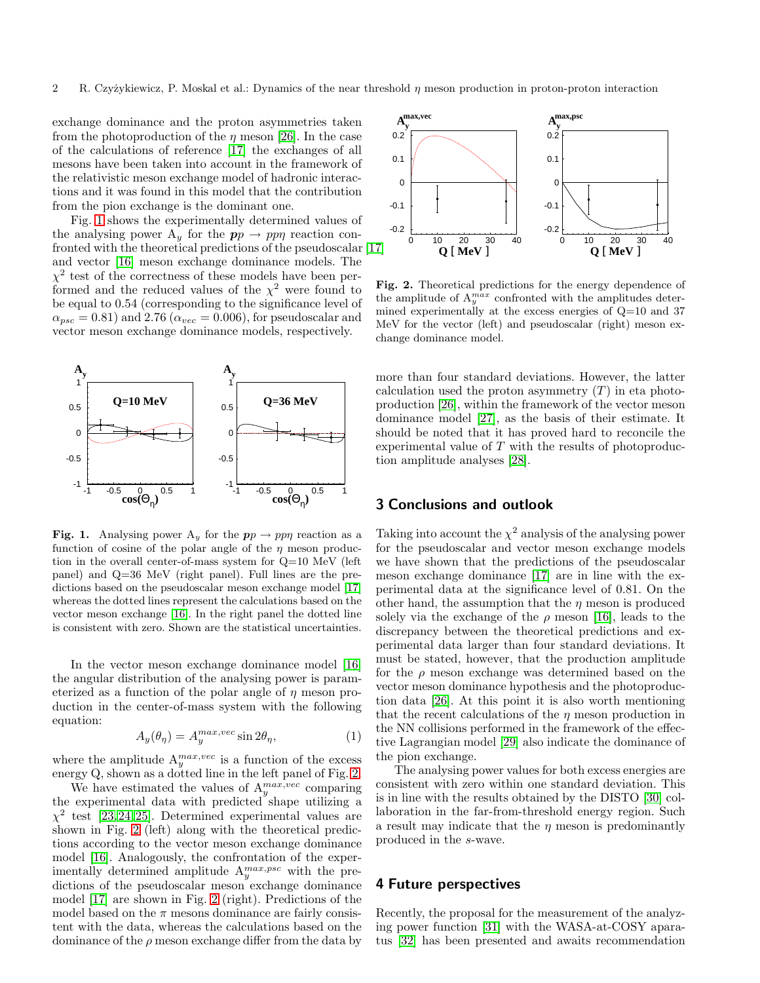exchange dominance and the proton asymmetries taken from the photoproduction of the  $\eta$  meson [\[26\]](#page-2-23). In the case of the calculations of reference [\[17\]](#page-2-16) the exchanges of all mesons have been taken into account in the framework of the relativistic meson exchange model of hadronic interactions and it was found in this model that the contribution from the pion exchange is the dominant one.

Fig. [1](#page-1-0) shows the experimentally determined values of the analysing power  $A_y$  for the  $pp \rightarrow pp\eta$  reaction confronted with the theoretical predictions of the pseudoscalar [\[17\]](#page-2-16) and vector [\[16\]](#page-2-15) meson exchange dominance models. The  $\chi^2$  test of the correctness of these models have been performed and the reduced values of the  $\chi^2$  were found to be equal to 0.54 (corresponding to the significance level of  $\alpha_{psc} = 0.81$ ) and 2.76 ( $\alpha_{vec} = 0.006$ ), for pseudoscalar and vector meson exchange dominance models, respectively.



<span id="page-1-0"></span>**Fig. 1.** Analysing power  $A_y$  for the  $pp \rightarrow pp\eta$  reaction as a function of cosine of the polar angle of the  $\eta$  meson production in the overall center-of-mass system for Q=10 MeV (left panel) and Q=36 MeV (right panel). Full lines are the predictions based on the pseudoscalar meson exchange model [\[17\]](#page-2-16) whereas the dotted lines represent the calculations based on the vector meson exchange [\[16\]](#page-2-15). In the right panel the dotted line is consistent with zero. Shown are the statistical uncertainties.

In the vector meson exchange dominance model [\[16\]](#page-2-15) the angular distribution of the analysing power is parameterized as a function of the polar angle of  $\eta$  meson production in the center-of-mass system with the following equation:

$$
A_y(\theta_\eta) = A_y^{\max, vec} \sin 2\theta_\eta,\tag{1}
$$

where the amplitude  $A_y^{max,vec}$  is a function of the excess energy Q, shown as a dotted line in the left panel of Fig. [2.](#page-1-1)

We have estimated the values of  $A_y^{max,vec}$  comparing the experimental data with predicted shape utilizing a  $\chi^2$  test [\[23,](#page-2-22) [24,](#page-2-24) [25\]](#page-2-25). Determined experimental values are shown in Fig. [2](#page-1-1) (left) along with the theoretical predictions according to the vector meson exchange dominance model [\[16\]](#page-2-15). Analogously, the confrontation of the experimentally determined amplitude  $A_y^{max,psc}$  with the predictions of the pseudoscalar meson exchange dominance model [\[17\]](#page-2-16) are shown in Fig. [2](#page-1-1) (right). Predictions of the model based on the  $\pi$  mesons dominance are fairly consistent with the data, whereas the calculations based on the dominance of the  $\rho$  meson exchange differ from the data by



<span id="page-1-1"></span>Fig. 2. Theoretical predictions for the energy dependence of the amplitude of  $A_y^{max}$  confronted with the amplitudes determined experimentally at the excess energies of  $Q=10$  and 37 MeV for the vector (left) and pseudoscalar (right) meson exchange dominance model.

more than four standard deviations. However, the latter calculation used the proton asymmetry  $(T)$  in eta photoproduction [\[26\]](#page-2-23), within the framework of the vector meson dominance model [\[27\]](#page-2-26), as the basis of their estimate. It should be noted that it has proved hard to reconcile the experimental value of T with the results of photoproduction amplitude analyses [\[28\]](#page-2-27).

# 3 Conclusions and outlook

Taking into account the  $\chi^2$  analysis of the analysing power for the pseudoscalar and vector meson exchange models we have shown that the predictions of the pseudoscalar meson exchange dominance [\[17\]](#page-2-16) are in line with the experimental data at the significance level of 0.81. On the other hand, the assumption that the  $\eta$  meson is produced solely via the exchange of the  $\rho$  meson [\[16\]](#page-2-15), leads to the discrepancy between the theoretical predictions and experimental data larger than four standard deviations. It must be stated, however, that the production amplitude for the  $\rho$  meson exchange was determined based on the vector meson dominance hypothesis and the photoproduction data [\[26\]](#page-2-23). At this point it is also worth mentioning that the recent calculations of the  $\eta$  meson production in the NN collisions performed in the framework of the effective Lagrangian model [\[29\]](#page-2-28) also indicate the dominance of the pion exchange.

The analysing power values for both excess energies are consistent with zero within one standard deviation. This is in line with the results obtained by the DISTO [\[30\]](#page-2-29) collaboration in the far-from-threshold energy region. Such a result may indicate that the  $\eta$  meson is predominantly produced in the s-wave.

#### 4 Future perspectives

Recently, the proposal for the measurement of the analyzing power function [\[31\]](#page-2-30) with the WASA-at-COSY aparatus [\[32\]](#page-2-31) has been presented and awaits recommendation